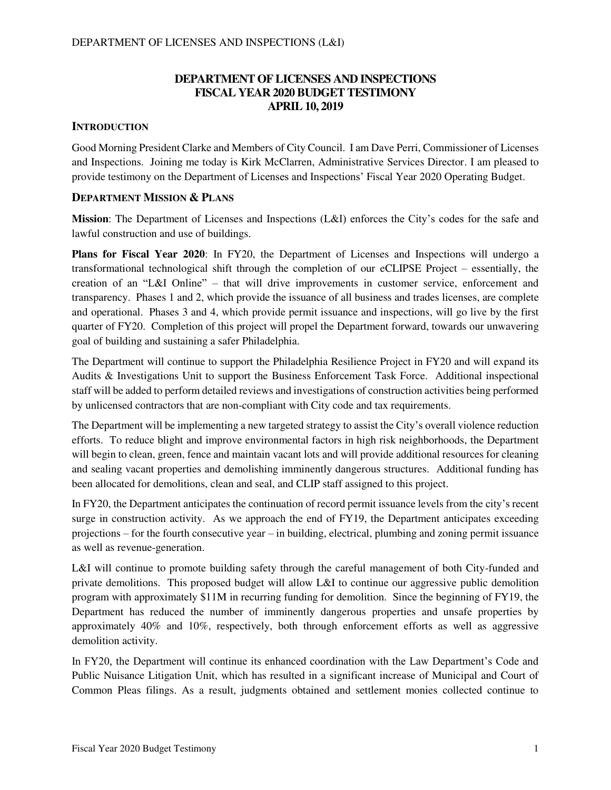### **DEPARTMENT OF LICENSES AND INSPECTIONS FISCAL YEAR 2020 BUDGET TESTIMONY APRIL 10, 2019**

#### **INTRODUCTION**

Good Morning President Clarke and Members of City Council. I am Dave Perri, Commissioner of Licenses and Inspections. Joining me today is Kirk McClarren, Administrative Services Director. I am pleased to provide testimony on the Department of Licenses and Inspections' Fiscal Year 2020 Operating Budget.

## **DEPARTMENT MISSION & PLANS**

**Mission**: The Department of Licenses and Inspections (L&I) enforces the City's codes for the safe and lawful construction and use of buildings.

**Plans for Fiscal Year 2020**: In FY20, the Department of Licenses and Inspections will undergo a transformational technological shift through the completion of our eCLIPSE Project – essentially, the creation of an "L&I Online" – that will drive improvements in customer service, enforcement and transparency. Phases 1 and 2, which provide the issuance of all business and trades licenses, are complete and operational. Phases 3 and 4, which provide permit issuance and inspections, will go live by the first quarter of FY20. Completion of this project will propel the Department forward, towards our unwavering goal of building and sustaining a safer Philadelphia.

The Department will continue to support the Philadelphia Resilience Project in FY20 and will expand its Audits & Investigations Unit to support the Business Enforcement Task Force. Additional inspectional staff will be added to perform detailed reviews and investigations of construction activities being performed by unlicensed contractors that are non-compliant with City code and tax requirements.

The Department will be implementing a new targeted strategy to assist the City's overall violence reduction efforts. To reduce blight and improve environmental factors in high risk neighborhoods, the Department will begin to clean, green, fence and maintain vacant lots and will provide additional resources for cleaning and sealing vacant properties and demolishing imminently dangerous structures. Additional funding has been allocated for demolitions, clean and seal, and CLIP staff assigned to this project.

In FY20, the Department anticipates the continuation of record permit issuance levels from the city's recent surge in construction activity. As we approach the end of FY19, the Department anticipates exceeding projections – for the fourth consecutive year – in building, electrical, plumbing and zoning permit issuance as well as revenue-generation.

L&I will continue to promote building safety through the careful management of both City-funded and private demolitions. This proposed budget will allow L&I to continue our aggressive public demolition program with approximately \$11M in recurring funding for demolition. Since the beginning of FY19, the Department has reduced the number of imminently dangerous properties and unsafe properties by approximately 40% and 10%, respectively, both through enforcement efforts as well as aggressive demolition activity.

In FY20, the Department will continue its enhanced coordination with the Law Department's Code and Public Nuisance Litigation Unit, which has resulted in a significant increase of Municipal and Court of Common Pleas filings. As a result, judgments obtained and settlement monies collected continue to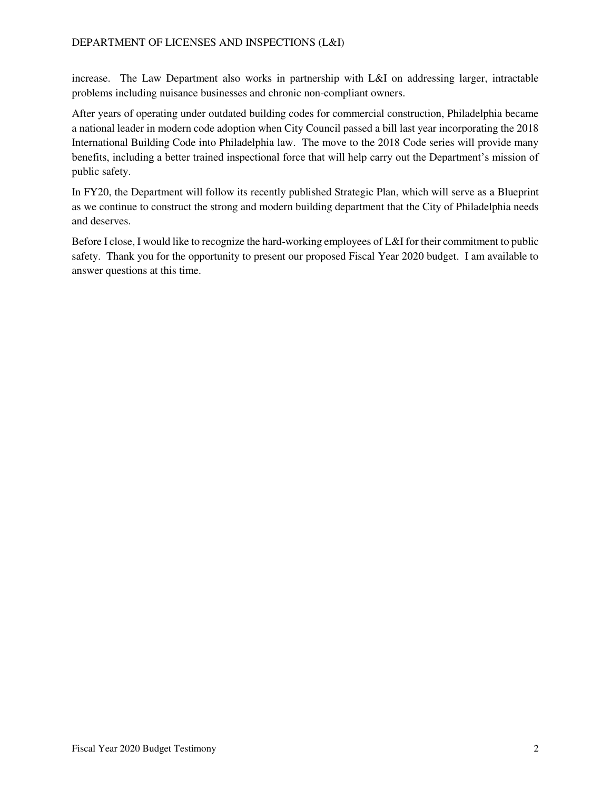increase. The Law Department also works in partnership with L&I on addressing larger, intractable problems including nuisance businesses and chronic non-compliant owners.

After years of operating under outdated building codes for commercial construction, Philadelphia became a national leader in modern code adoption when City Council passed a bill last year incorporating the 2018 International Building Code into Philadelphia law. The move to the 2018 Code series will provide many benefits, including a better trained inspectional force that will help carry out the Department's mission of public safety.

In FY20, the Department will follow its recently published Strategic Plan, which will serve as a Blueprint as we continue to construct the strong and modern building department that the City of Philadelphia needs and deserves.

Before I close, I would like to recognize the hard-working employees of L&I for their commitment to public safety. Thank you for the opportunity to present our proposed Fiscal Year 2020 budget. I am available to answer questions at this time.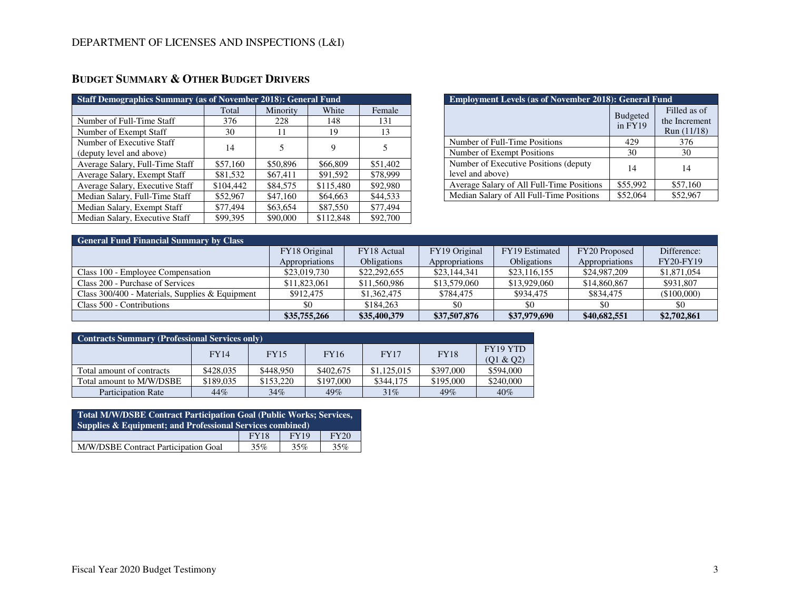| <b>Staff Demographics Summary (as of November 2018): General Fund</b> |           |          |           |          |  |  |  |  |  |
|-----------------------------------------------------------------------|-----------|----------|-----------|----------|--|--|--|--|--|
|                                                                       | Total     | Minority | White     | Female   |  |  |  |  |  |
| Number of Full-Time Staff                                             | 376       | 228      | 148       | 131      |  |  |  |  |  |
| Number of Exempt Staff                                                | 30        | 11       | 19        | 13       |  |  |  |  |  |
| Number of Executive Staff                                             | 14        | 5        | 9         | 5        |  |  |  |  |  |
| (deputy level and above)                                              |           |          |           |          |  |  |  |  |  |
| Average Salary, Full-Time Staff                                       | \$57,160  | \$50,896 | \$66,809  | \$51,402 |  |  |  |  |  |
| Average Salary, Exempt Staff                                          | \$81,532  | \$67,411 | \$91,592  | \$78,999 |  |  |  |  |  |
| Average Salary, Executive Staff                                       | \$104,442 | \$84,575 | \$115,480 | \$92,980 |  |  |  |  |  |
| Median Salary, Full-Time Staff                                        | \$52,967  | \$47,160 | \$64,663  | \$44,533 |  |  |  |  |  |
| Median Salary, Exempt Staff                                           | \$77,494  | \$63,654 | \$87,550  | \$77,494 |  |  |  |  |  |
| Median Salary, Executive Staff                                        | \$99,395  | \$90,000 | \$112,848 | \$92,700 |  |  |  |  |  |

# **BUDGET SUMMARY & OTHER BUDGET DRIVERS**

| <b>Employment Levels (as of November 2018): General Fund</b> |                              |                                              |  |  |  |  |  |  |
|--------------------------------------------------------------|------------------------------|----------------------------------------------|--|--|--|--|--|--|
|                                                              | <b>Budgeted</b><br>in $FY19$ | Filled as of<br>the Increment<br>Run (11/18) |  |  |  |  |  |  |
| Number of Full-Time Positions                                | 429                          | 376                                          |  |  |  |  |  |  |
| Number of Exempt Positions                                   | 30                           | 30                                           |  |  |  |  |  |  |
| Number of Executive Positions (deputy)<br>level and above)   | 14                           | 14                                           |  |  |  |  |  |  |
| Average Salary of All Full-Time Positions                    | \$55,992                     | \$57,160                                     |  |  |  |  |  |  |
| Median Salary of All Full-Time Positions                     | \$52,064                     | \$52,967                                     |  |  |  |  |  |  |

| <b>General Fund Financial Summary by Class</b>  |                |                    |                |                    |                |                  |
|-------------------------------------------------|----------------|--------------------|----------------|--------------------|----------------|------------------|
|                                                 | FY18 Original  | FY18 Actual        | FY19 Original  | FY19 Estimated     | FY20 Proposed  | Difference:      |
|                                                 | Appropriations | <b>Obligations</b> | Appropriations | <b>Obligations</b> | Appropriations | <b>FY20-FY19</b> |
| Class 100 - Employee Compensation               | \$23,019,730   | \$22,292,655       | \$23,144,341   | \$23,116,155       | \$24,987,209   | \$1,871,054      |
| Class 200 - Purchase of Services                | \$11,823,061   | \$11,560,986       | \$13,579,060   | \$13,929,060       | \$14,860,867   | \$931,807        |
| Class 300/400 - Materials, Supplies & Equipment | \$912,475      | \$1,362,475        | \$784,475      | \$934,475          | \$834,475      | (\$100,000)      |
| Class 500 - Contributions                       | \$0            | \$184,263          | \$0            |                    | \$0            | \$0              |
|                                                 | \$35,755,266   | \$35,400,379       | \$37,507,876   | \$37,979,690       | \$40,682,551   | \$2,702,861      |

| Contracts Summary (Professional Services only) |           |           |                            |             |             |           |  |  |  |
|------------------------------------------------|-----------|-----------|----------------------------|-------------|-------------|-----------|--|--|--|
|                                                | FY14      |           | <b>FY16</b><br><b>FY15</b> |             | <b>FY18</b> | FY19 YTD  |  |  |  |
|                                                |           |           |                            |             |             | (Q1 & Q2) |  |  |  |
| Total amount of contracts                      | \$428,035 | \$448,950 | \$402,675                  | \$1,125,015 | \$397,000   | \$594,000 |  |  |  |
| Total amount to M/W/DSBE                       | \$189,035 | \$153,220 | \$197,000                  | \$344,175   | \$195,000   | \$240,000 |  |  |  |
| <b>Participation Rate</b>                      | 44%       | 34%       | 49%                        | 31%         | 49%         | 40%       |  |  |  |

| <b>Total M/W/DSBE Contract Participation Goal (Public Works; Services,</b><br><b>Supplies &amp; Equipment; and Professional Services combined)</b> |             |      |      |  |  |  |  |  |
|----------------------------------------------------------------------------------------------------------------------------------------------------|-------------|------|------|--|--|--|--|--|
|                                                                                                                                                    | <b>FY18</b> | FY19 | FY20 |  |  |  |  |  |
| M/W/DSBE Contract Participation Goal                                                                                                               | 35%         | 35%  | 35%  |  |  |  |  |  |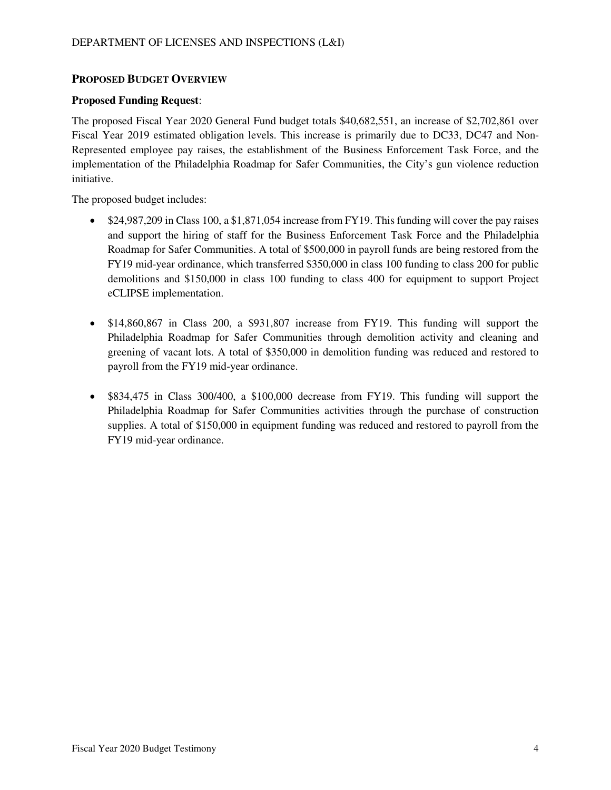### **PROPOSED BUDGET OVERVIEW**

#### **Proposed Funding Request**:

The proposed Fiscal Year 2020 General Fund budget totals \$40,682,551, an increase of \$2,702,861 over Fiscal Year 2019 estimated obligation levels. This increase is primarily due to DC33, DC47 and Non-Represented employee pay raises, the establishment of the Business Enforcement Task Force, and the implementation of the Philadelphia Roadmap for Safer Communities, the City's gun violence reduction initiative.

The proposed budget includes:

- \$24,987,209 in Class 100, a \$1,871,054 increase from FY19. This funding will cover the pay raises and support the hiring of staff for the Business Enforcement Task Force and the Philadelphia Roadmap for Safer Communities. A total of \$500,000 in payroll funds are being restored from the FY19 mid-year ordinance, which transferred \$350,000 in class 100 funding to class 200 for public demolitions and \$150,000 in class 100 funding to class 400 for equipment to support Project eCLIPSE implementation.
- \$14,860,867 in Class 200, a \$931,807 increase from FY19. This funding will support the Philadelphia Roadmap for Safer Communities through demolition activity and cleaning and greening of vacant lots. A total of \$350,000 in demolition funding was reduced and restored to payroll from the FY19 mid-year ordinance.
- \$834,475 in Class 300/400, a \$100,000 decrease from FY19. This funding will support the Philadelphia Roadmap for Safer Communities activities through the purchase of construction supplies. A total of \$150,000 in equipment funding was reduced and restored to payroll from the FY19 mid-year ordinance.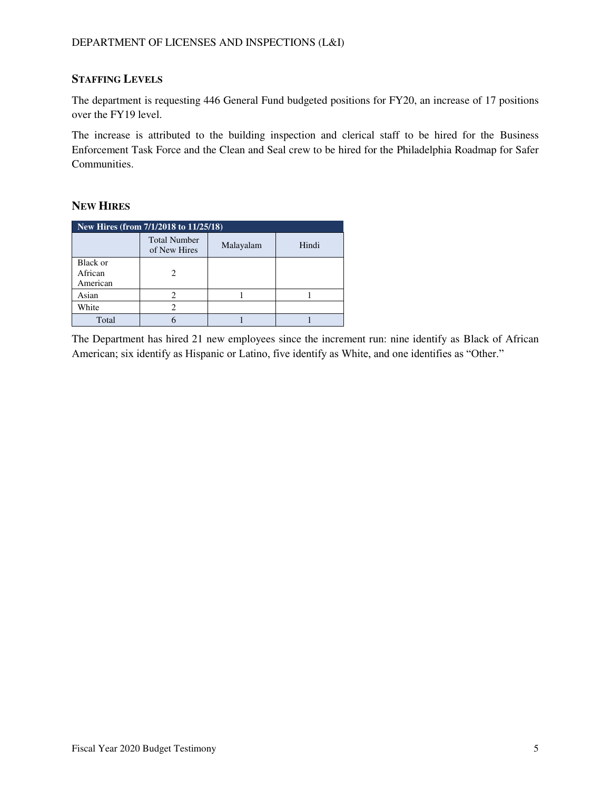# **STAFFING LEVELS**

The department is requesting 446 General Fund budgeted positions for FY20, an increase of 17 positions over the FY19 level.

The increase is attributed to the building inspection and clerical staff to be hired for the Business Enforcement Task Force and the Clean and Seal crew to be hired for the Philadelphia Roadmap for Safer Communities.

### **NEW HIRES**

| New Hires (from 7/1/2018 to 11/25/18) |                                     |           |       |  |  |  |  |  |
|---------------------------------------|-------------------------------------|-----------|-------|--|--|--|--|--|
|                                       | <b>Total Number</b><br>of New Hires | Malayalam | Hindi |  |  |  |  |  |
| Black or<br>African<br>American       |                                     |           |       |  |  |  |  |  |
| Asian                                 | 2                                   |           |       |  |  |  |  |  |
| White                                 | 7                                   |           |       |  |  |  |  |  |
| Total                                 |                                     |           |       |  |  |  |  |  |

The Department has hired 21 new employees since the increment run: nine identify as Black of African American; six identify as Hispanic or Latino, five identify as White, and one identifies as "Other."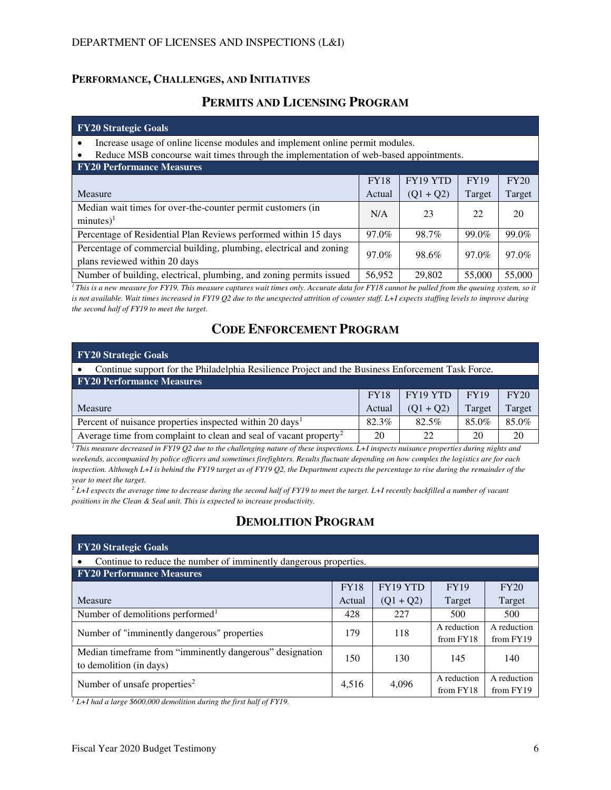#### **PERFORMANCE, CHALLENGES, AND INITIATIVES**

# **PERMITS AND LICENSING PROGRAM**

#### **FY20 Strategic Goals**

• Increase usage of online license modules and implement online permit modules.

• Reduce MSB concourse wait times through the implementation of web-based appointments.

| <b>FY20 Performance Measures</b>                                    |             |             |             |        |
|---------------------------------------------------------------------|-------------|-------------|-------------|--------|
|                                                                     | <b>FY18</b> | FY19 YTD    | <b>FY19</b> | FY20   |
| Measure                                                             | Actual      | $(Q1 + Q2)$ | Target      | Target |
| Median wait times for over-the-counter permit customers (in         | N/A         | 23          | 22          | 20     |
| $minutes)^1$                                                        |             |             |             |        |
| Percentage of Residential Plan Reviews performed within 15 days     | 97.0%       | 98.7%       | 99.0%       | 99.0%  |
| Percentage of commercial building, plumbing, electrical and zoning  | 97.0%       | 98.6%       | 97.0%       | 97.0%  |
| plans reviewed within 20 days                                       |             |             |             |        |
| Number of building, electrical, plumbing, and zoning permits issued | 56.952      | 29,802      | 55,000      | 55,000 |

<sup>1</sup>*This is a new measure for FY19. This measure captures wait times only. Accurate data for FY18 cannot be pulled from the queuing system, so it* is not available. Wait times increased in FY19 Q2 due to the unexpected attrition of counter staff. L+I expects staffing levels to improve during *the second half of FY19 to meet the target.* 

# **CODE ENFORCEMENT PROGRAM**

| <b>FY20 Strategic Goals</b>                                                                       |        |             |        |        |  |  |  |  |  |
|---------------------------------------------------------------------------------------------------|--------|-------------|--------|--------|--|--|--|--|--|
| Continue support for the Philadelphia Resilience Project and the Business Enforcement Task Force. |        |             |        |        |  |  |  |  |  |
| <b>FY20 Performance Measures</b>                                                                  |        |             |        |        |  |  |  |  |  |
| FY19 YTD<br><b>FY19</b><br><b>FY20</b><br><b>FY18</b>                                             |        |             |        |        |  |  |  |  |  |
| Measure                                                                                           | Actual | $(Q1 + Q2)$ | Target | Target |  |  |  |  |  |
| Percent of nuisance properties inspected within 20 days <sup>1</sup>                              | 82.3%  | 82.5%       | 85.0%  | 85.0%  |  |  |  |  |  |
| Average time from complaint to clean and seal of vacant property <sup>2</sup>                     | 20     | 22          | 20     | 20     |  |  |  |  |  |

*<sup>1</sup>This measure decreased in FY19 Q2 due to the challenging nature of these inspections. L+I inspects nuisance properties during nights and weekends, accompanied by police officers and sometimes firefighters. Results fluctuate depending on how complex the logistics are for each inspection. Although L+I is behind the FY19 target as of FY19 Q2, the Department expects the percentage to rise during the remainder of the year to meet the target.* 

 $^2$  L+I expects the average time to decrease during the second half of FY19 to meet the target. L+I recently backfilled a number of vacant *positions in the Clean & Seal unit. This is expected to increase productivity.* 

# **DEMOLITION PROGRAM**

| <b>FY20 Strategic Goals</b>                                                         |             |             |                          |                          |  |  |  |  |  |
|-------------------------------------------------------------------------------------|-------------|-------------|--------------------------|--------------------------|--|--|--|--|--|
| Continue to reduce the number of imminently dangerous properties.                   |             |             |                          |                          |  |  |  |  |  |
| <b>FY20 Performance Measures</b>                                                    |             |             |                          |                          |  |  |  |  |  |
|                                                                                     | <b>FY18</b> | FY19 YTD    | <b>FY19</b>              | FY20                     |  |  |  |  |  |
| Measure                                                                             | Actual      | $(Q1 + Q2)$ | Target                   | Target                   |  |  |  |  |  |
| Number of demolitions performed <sup>1</sup>                                        | 428         | 227         | 500                      | 500                      |  |  |  |  |  |
| Number of "imminently dangerous" properties                                         | 179         | 118         | A reduction<br>from FY18 | A reduction<br>from FY19 |  |  |  |  |  |
| Median timeframe from "imminently dangerous" designation<br>to demolition (in days) | 150         | 130         | 145                      | 140                      |  |  |  |  |  |
| Number of unsafe properties <sup>2</sup>                                            | 4,516       | 4,096       | A reduction<br>from FY18 | A reduction<br>from FY19 |  |  |  |  |  |

*1 L+I had a large \$600,000 demolition during the first half of FY19.*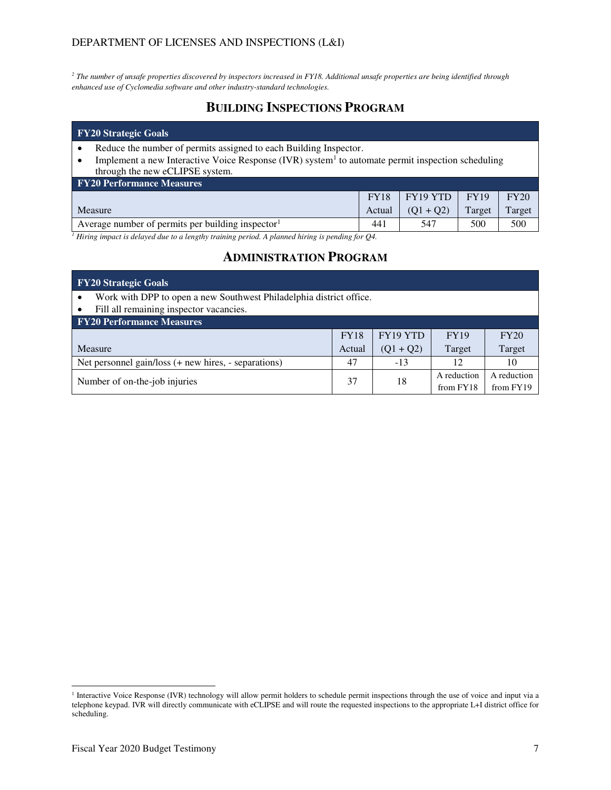#### DEPARTMENT OF LICENSES AND INSPECTIONS (L&I)

*2 The number of unsafe properties discovered by inspectors increased in FY18. Additional unsafe properties are being identified through enhanced use of Cyclomedia software and other industry-standard technologies.* 

# **BUILDING INSPECTIONS PROGRAM**

#### **FY20 Strategic Goals**

- Reduce the number of permits assigned to each Building Inspector.
- Implement a new Interactive Voice Response (IVR) system<sup>1</sup> to automate permit inspection scheduling through the new eCLIPSE system.

| <b>FY20 Performance Measures</b>                              |             |             |             |        |  |  |  |  |  |  |
|---------------------------------------------------------------|-------------|-------------|-------------|--------|--|--|--|--|--|--|
|                                                               | <b>FY18</b> | FY19 YTD    | <b>FY19</b> | FY20   |  |  |  |  |  |  |
| Measure                                                       | Actual      | $(01 + 02)$ | Target      | Target |  |  |  |  |  |  |
| Average number of permits per building inspector <sup>1</sup> | 441         | 547         | 500         | 500    |  |  |  |  |  |  |

*1 Hiring impact is delayed due to a lengthy training period. A planned hiring is pending for Q4.* 

## **ADMINISTRATION PROGRAM**

| $\overline{Y_2}$ Strategic Goals                                                                                            |        |             |             |             |  |  |  |  |  |
|-----------------------------------------------------------------------------------------------------------------------------|--------|-------------|-------------|-------------|--|--|--|--|--|
| Work with DPP to open a new Southwest Philadelphia district office.<br>Fill all remaining inspector vacancies.<br>$\bullet$ |        |             |             |             |  |  |  |  |  |
| <b>FY20 Performance Measures</b>                                                                                            |        |             |             |             |  |  |  |  |  |
| FY19 YTD<br><b>FY18</b><br><b>FY19</b><br>FY20                                                                              |        |             |             |             |  |  |  |  |  |
| <b>Measure</b>                                                                                                              | Actual | $(Q1 + Q2)$ | Target      | Target      |  |  |  |  |  |
| Net personnel gain/loss (+ new hires, - separations)                                                                        | 47     | $-13$       | 12          | 10          |  |  |  |  |  |
| Number of on-the-job injuries                                                                                               |        | 18          | A reduction | A reduction |  |  |  |  |  |
|                                                                                                                             |        |             | from FY18   | from FY19   |  |  |  |  |  |

 1 Interactive Voice Response (IVR) technology will allow permit holders to schedule permit inspections through the use of voice and input via a telephone keypad. IVR will directly communicate with eCLIPSE and will route the requested inspections to the appropriate L+I district office for scheduling.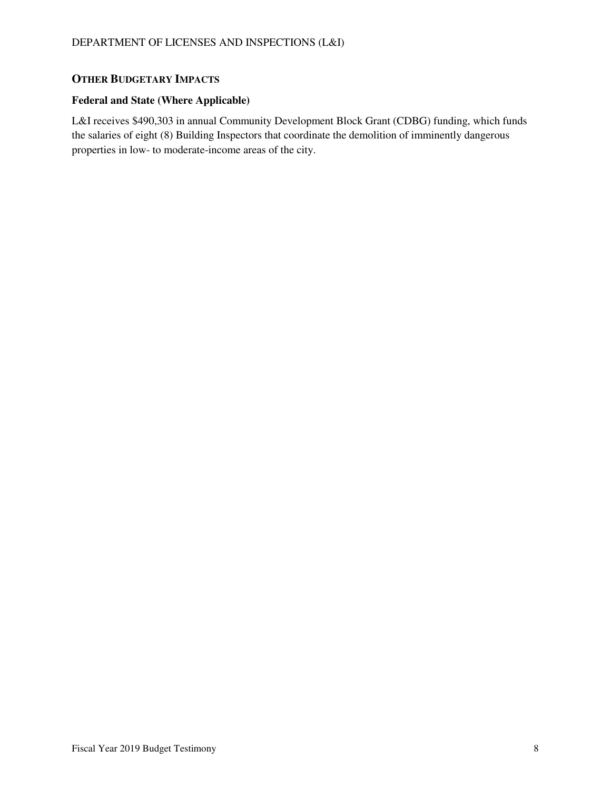## **OTHER BUDGETARY IMPACTS**

#### **Federal and State (Where Applicable)**

L&I receives \$490,303 in annual Community Development Block Grant (CDBG) funding, which funds the salaries of eight (8) Building Inspectors that coordinate the demolition of imminently dangerous properties in low- to moderate-income areas of the city.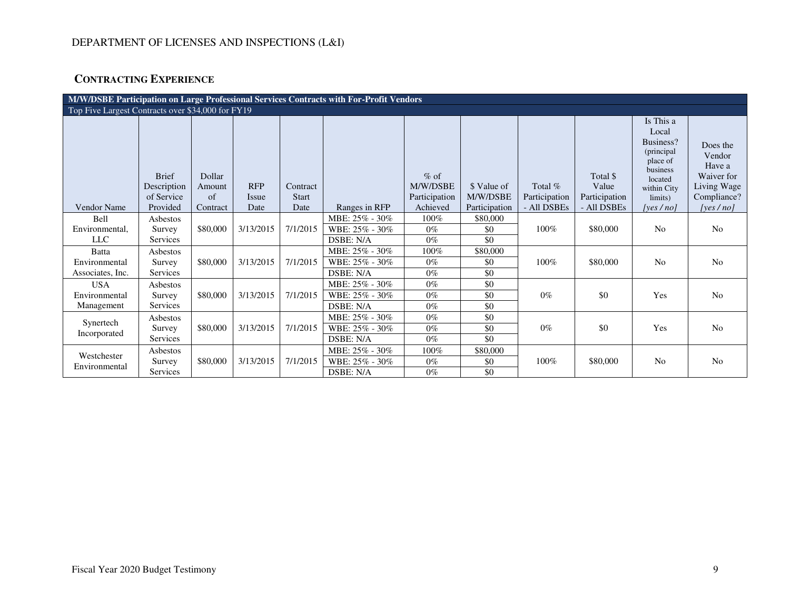# **CONTRACTING EXPERIENCE**

|                                                   | M/W/DSBE Participation on Large Professional Services Contracts with For-Profit Vendors |                                    |                                    |                                  |                             |                                                 |                                          |                                         |                                                   |                                                                                                                           |                                                                                          |
|---------------------------------------------------|-----------------------------------------------------------------------------------------|------------------------------------|------------------------------------|----------------------------------|-----------------------------|-------------------------------------------------|------------------------------------------|-----------------------------------------|---------------------------------------------------|---------------------------------------------------------------------------------------------------------------------------|------------------------------------------------------------------------------------------|
| Top Five Largest Contracts over \$34,000 for FY19 |                                                                                         |                                    |                                    |                                  |                             |                                                 |                                          |                                         |                                                   |                                                                                                                           |                                                                                          |
| <b>Vendor Name</b>                                | <b>Brief</b><br>Description<br>of Service<br>Provided                                   | Dollar<br>Amount<br>of<br>Contract | <b>RFP</b><br><i>Issue</i><br>Date | Contract<br><b>Start</b><br>Date | Ranges in RFP               | $%$ of<br>M/W/DSBE<br>Participation<br>Achieved | \$ Value of<br>M/W/DSBE<br>Participation | Total %<br>Participation<br>- All DSBEs | Total \$<br>Value<br>Participation<br>- All DSBEs | Is This a<br>Local<br>Business?<br>(principal)<br>place of<br>business<br>located<br>within City<br>limits)<br>[yes / no] | Does the<br>Vendor<br>Have a<br>Waiver for<br>Living Wage<br>Compliance?<br>[yes $/$ no] |
| <b>Bell</b>                                       | Asbestos                                                                                |                                    |                                    |                                  | MBE: 25% - 30%              | 100%                                            | \$80,000                                 |                                         |                                                   |                                                                                                                           |                                                                                          |
| Environmental,<br><b>LLC</b>                      | Survey<br>Services                                                                      | \$80,000                           | 3/13/2015                          | 7/1/2015                         | WBE: 25% - 30%<br>DSBE: N/A | $0\%$<br>$0\%$                                  | \$0<br>\$0                               | $100\%$                                 | \$80,000                                          | N <sub>0</sub>                                                                                                            | No                                                                                       |
| Batta                                             | Asbestos                                                                                |                                    |                                    |                                  | MBE: 25% - 30%              | 100%                                            | \$80,000                                 |                                         |                                                   |                                                                                                                           |                                                                                          |
| Environmental<br>Associates, Inc.                 | Survey<br>Services                                                                      | \$80,000                           | 3/13/2015                          | 7/1/2015                         | WBE: 25% - 30%<br>DSBE: N/A | $0\%$<br>$0\%$                                  | \$0<br>\$0                               | 100%                                    | \$80,000                                          | N <sub>0</sub>                                                                                                            | N <sub>o</sub>                                                                           |
| <b>USA</b>                                        | Asbestos                                                                                |                                    |                                    |                                  | MBE: 25% - 30%              | $0\%$                                           | \$0                                      |                                         |                                                   |                                                                                                                           |                                                                                          |
| Environmental<br>Management                       | Survey<br>Services                                                                      | \$80,000                           | 3/13/2015                          | 7/1/2015                         | WBE: 25% - 30%<br>DSBE: N/A | $0\%$<br>$0\%$                                  | \$0<br>\$0                               | $0\%$                                   | \$0                                               | Yes                                                                                                                       | N <sub>o</sub>                                                                           |
|                                                   | Asbestos                                                                                |                                    |                                    |                                  | MBE: 25% - 30%              | $0\%$                                           | \$0                                      |                                         |                                                   |                                                                                                                           |                                                                                          |
| Synertech<br>Incorporated                         | Survey                                                                                  | \$80,000                           | 3/13/2015                          | 7/1/2015                         | WBE: 25% - 30%              | $0\%$                                           | \$0                                      | $0\%$                                   | \$0                                               | Yes                                                                                                                       | N <sub>o</sub>                                                                           |
|                                                   | Services                                                                                |                                    |                                    |                                  | DSBE: N/A                   | $0\%$                                           | \$0                                      |                                         |                                                   |                                                                                                                           |                                                                                          |
| Westchester                                       | Asbestos                                                                                |                                    |                                    |                                  | MBE: 25% - 30%              | 100%                                            | \$80,000                                 |                                         |                                                   |                                                                                                                           |                                                                                          |
| Environmental                                     | Survey                                                                                  | \$80,000                           | 3/13/2015                          | 7/1/2015                         | WBE: 25% - 30%              | $0\%$                                           | \$0                                      | $100\%$                                 | \$80,000                                          | N <sub>0</sub>                                                                                                            | N <sub>o</sub>                                                                           |
|                                                   | Services                                                                                |                                    |                                    |                                  | DSBE: N/A                   | $0\%$                                           | \$0                                      |                                         |                                                   |                                                                                                                           |                                                                                          |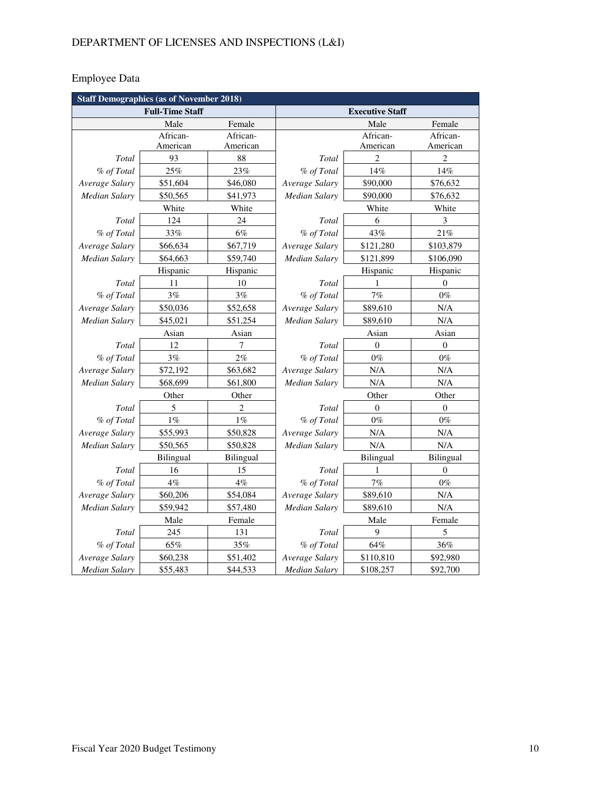# Employee Data

| <b>Staff Demographics (as of November 2018)</b> |           |                |                        |                |                  |
|-------------------------------------------------|-----------|----------------|------------------------|----------------|------------------|
| <b>Full-Time Staff</b>                          |           |                | <b>Executive Staff</b> |                |                  |
|                                                 | Male      | Female         |                        | Male           | Female           |
|                                                 | African-  | African-       |                        | African-       | African-         |
|                                                 | American  | American       |                        | American       | American         |
| Total                                           | 93        | 88             | Total                  | $\overline{2}$ | $\overline{2}$   |
| % of Total                                      | 25%       | 23%            | % of Total             | 14%            | 14%              |
| Average Salary                                  | \$51,604  | \$46,080       | Average Salary         | \$90,000       | \$76,632         |
| <b>Median Salary</b>                            | \$50,565  | \$41,973       | Median Salary          | \$90,000       | \$76,632         |
|                                                 | White     | White          |                        | White          | White            |
| Total                                           | 124       | 24             | Total                  | 6              | 3                |
| % of Total                                      | 33%       | 6%             | % of Total             | 43%            | 21%              |
| Average Salary                                  | \$66,634  | \$67,719       | Average Salary         | \$121,280      | \$103,879        |
| <b>Median Salary</b>                            | \$64,663  | \$59,740       | Median Salary          | \$121,899      | \$106,090        |
|                                                 | Hispanic  | Hispanic       | Hispanic<br>Hispanic   |                |                  |
| Total                                           | 11        | 10             | Total                  | 1              | $\Omega$         |
| % of Total                                      | 3%        | 3%             | % of Total             | 7%             | $0\%$            |
| Average Salary                                  | \$50,036  | \$52,658       | Average Salary         | \$89,610       | N/A              |
| <b>Median Salary</b>                            | \$45,021  | \$51,254       | Median Salary          | \$89,610       | N/A              |
|                                                 | Asian     | Asian          |                        | Asian          | Asian            |
| Total                                           | 12        | 7              | Total                  | $\theta$       | $\theta$         |
| % of Total                                      | 3%        | $2\%$          | % of Total             | $0\%$          | $0\%$            |
| Average Salary                                  | \$72,192  | \$63,682       | Average Salary         | N/A            | N/A              |
| Median Salary                                   | \$68,699  | \$61,800       | Median Salary          | N/A            | N/A              |
|                                                 | Other     | Other          |                        | Other          | Other            |
| Total                                           | 5         | $\overline{c}$ | Total                  | $\theta$       | $\boldsymbol{0}$ |
| % of Total                                      | $1\%$     | $1\%$          | % of Total             | $0\%$          | $0\%$            |
| Average Salary                                  | \$55,993  | \$50,828       | Average Salary         | $\rm N/A$      | N/A              |
| Median Salary                                   | \$50,565  | \$50,828       | Median Salary          | N/A            | N/A              |
|                                                 | Bilingual | Bilingual      |                        | Bilingual      | Bilingual        |
| Total                                           | 16        | 15             | Total                  | 1              | $\boldsymbol{0}$ |
| % of Total                                      | $4\%$     | $4\%$          | % of Total             | $7\%$          | $0\%$            |
| Average Salary                                  | \$60,206  | \$54,084       | Average Salary         | \$89,610       | N/A              |
| <b>Median Salary</b>                            | \$59,942  | \$57,480       | Median Salary          | \$89,610       | N/A              |
| Female<br>Male                                  |           | Male<br>Female |                        |                |                  |
| Total                                           | 245       | 131            | Total                  | 9              | 5                |
| % of Total                                      | 65%       | 35%            | % of Total             | 64%            | $36\%$           |
| Average Salary                                  | \$60,238  | \$51,402       | Average Salary         | \$110,810      | \$92,980         |
| <b>Median Salary</b>                            | \$55,483  | \$44,533       | <b>Median Salary</b>   | \$108,257      | \$92,700         |